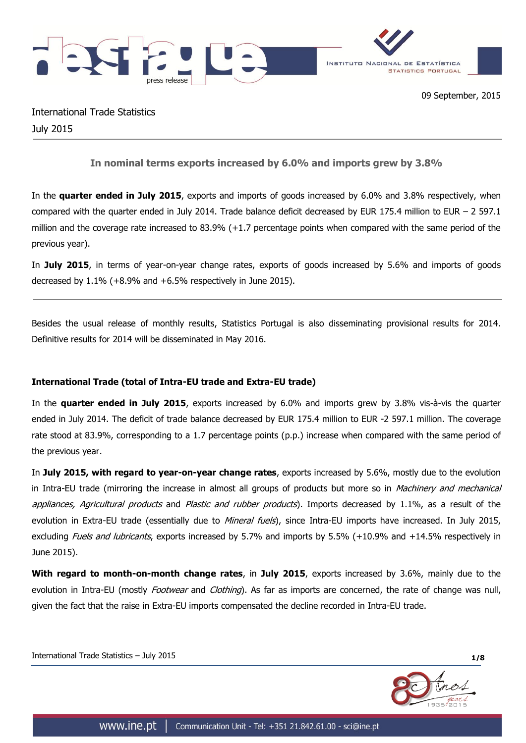

International Trade Statistics July 2015

**In nominal terms exports increased by 6.0% and imports grew by 3.8%**

In the **quarter ended in July 2015**, exports and imports of goods increased by 6.0% and 3.8% respectively, when compared with the quarter ended in July 2014. Trade balance deficit decreased by EUR 175.4 million to EUR – 2 597.1 million and the coverage rate increased to 83.9% (+1.7 percentage points when compared with the same period of the previous year).

In **July 2015**, in terms of year-on-year change rates, exports of goods increased by 5.6% and imports of goods decreased by 1.1% (+8.9% and +6.5% respectively in June 2015).

Besides the usual release of monthly results, Statistics Portugal is also disseminating provisional results for 2014. Definitive results for 2014 will be disseminated in May 2016.

# **International Trade (total of Intra-EU trade and Extra-EU trade)**

In the **quarter ended in July 2015**, exports increased by 6.0% and imports grew by 3.8% vis-à-vis the quarter ended in July 2014. The deficit of trade balance decreased by EUR 175.4 million to EUR -2 597.1 million. The coverage rate stood at 83.9%, corresponding to a 1.7 percentage points (p.p.) increase when compared with the same period of the previous year.

In **July 2015, with regard to year-on-year change rates**, exports increased by 5.6%, mostly due to the evolution in Intra-EU trade (mirroring the increase in almost all groups of products but more so in *Machinery and mechanical* appliances, Agricultural products and Plastic and rubber products). Imports decreased by 1.1%, as a result of the evolution in Extra-EU trade (essentially due to *Mineral fuels*), since Intra-EU imports have increased. In July 2015, excluding *Fuels and lubricants*, exports increased by 5.7% and imports by 5.5% (+10.9% and +14.5% respectively in June 2015).

**With regard to month-on-month change rates**, in **July 2015**, exports increased by 3.6%, mainly due to the evolution in Intra-EU (mostly *Footwear* and *Clothing*). As far as imports are concerned, the rate of change was null, given the fact that the raise in Extra-EU imports compensated the decline recorded in Intra-EU trade.

International Trade Statistics – July 2015 **1/8**

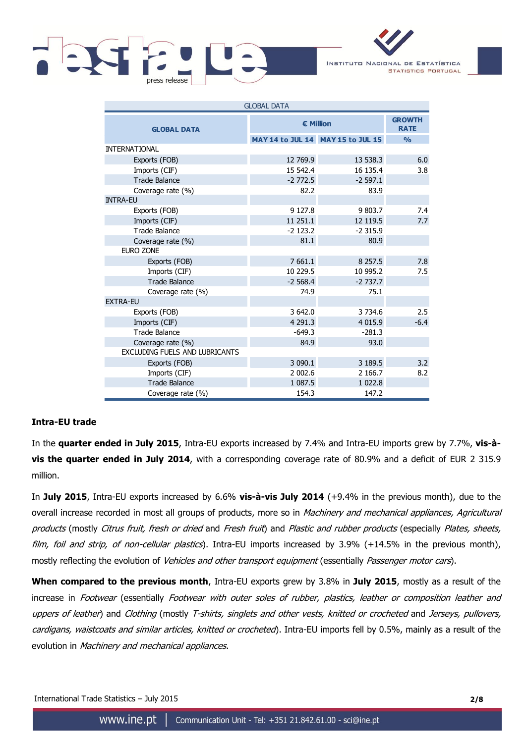

INSTITUTO NACIONAL DE ESTATÍSTICA **STATISTICS PORTUGAL** 

| <b>GLOBAL DATA</b>                    |             |                                   |               |  |  |  |
|---------------------------------------|-------------|-----------------------------------|---------------|--|--|--|
| <b>GLOBAL DATA</b>                    | € Million   | <b>GROWTH</b><br><b>RATE</b>      |               |  |  |  |
|                                       |             | MAY 14 to JUL 14 MAY 15 to JUL 15 | $\frac{0}{0}$ |  |  |  |
| <b>INTERNATIONAL</b>                  |             |                                   |               |  |  |  |
| Exports (FOB)                         | 12 769.9    | 13 538.3                          | 6.0           |  |  |  |
| Imports (CIF)                         | 15 542.4    | 16 135.4                          | 3.8           |  |  |  |
| <b>Trade Balance</b>                  | $-2772.5$   | $-2597.1$                         |               |  |  |  |
| Coverage rate (%)                     | 82.2        | 83.9                              |               |  |  |  |
| <b>INTRA-EU</b>                       |             |                                   |               |  |  |  |
| Exports (FOB)                         | 9 1 2 7 . 8 | 9 803.7                           | 7.4           |  |  |  |
| Imports (CIF)                         | 11 251.1    | 12 119.5                          | 7.7           |  |  |  |
| <b>Trade Balance</b>                  | $-2$ 123.2  | $-2315.9$                         |               |  |  |  |
| Coverage rate (%)                     | 81.1        | 80.9                              |               |  |  |  |
| <b>EURO ZONE</b>                      |             |                                   |               |  |  |  |
| Exports (FOB)                         | 7 661.1     | 8 2 5 7 . 5                       | 7.8           |  |  |  |
| Imports (CIF)                         | 10 229.5    | 10 995.2                          | 7.5           |  |  |  |
| <b>Trade Balance</b>                  | $-2568.4$   | $-2737.7$                         |               |  |  |  |
| Coverage rate (%)                     | 74.9        | 75.1                              |               |  |  |  |
| <b>EXTRA-EU</b>                       |             |                                   |               |  |  |  |
| Exports (FOB)                         | 3 642.0     | 3 7 3 4 . 6                       | 2.5           |  |  |  |
| Imports (CIF)                         | 4 2 9 1 . 3 | 4 0 1 5 . 9                       | $-6.4$        |  |  |  |
| <b>Trade Balance</b>                  | $-649.3$    | $-281.3$                          |               |  |  |  |
| Coverage rate (%)                     | 84.9        | 93.0                              |               |  |  |  |
| <b>EXCLUDING FUELS AND LUBRICANTS</b> |             |                                   |               |  |  |  |
| Exports (FOB)                         | 3 0 9 0.1   | 3 189.5                           | 3.2           |  |  |  |
| Imports (CIF)                         | 2 002.6     | 2 166.7                           | 8.2           |  |  |  |
| <b>Trade Balance</b>                  | 1 087.5     | 1 0 2 2.8                         |               |  |  |  |
| Coverage rate (%)                     | 154.3       | 147.2                             |               |  |  |  |

## **Intra-EU trade**

In the **quarter ended in July 2015**, Intra-EU exports increased by 7.4% and Intra-EU imports grew by 7.7%, **vis-àvis the quarter ended in July 2014**, with a corresponding coverage rate of 80.9% and a deficit of EUR 2 315.9 million.

In **July 2015**, Intra-EU exports increased by 6.6% **vis-à-vis July 2014** (+9.4% in the previous month), due to the overall increase recorded in most all groups of products, more so in Machinery and mechanical appliances, Agricultural products (mostly Citrus fruit, fresh or dried and Fresh fruit) and Plastic and rubber products (especially Plates, sheets, film, foil and strip, of non-cellular plastics). Intra-EU imports increased by 3.9% (+14.5% in the previous month), mostly reflecting the evolution of *Vehicles and other transport equipment* (essentially *Passenger motor cars*).

**When compared to the previous month**, Intra-EU exports grew by 3.8% in **July 2015**, mostly as a result of the increase in Footwear (essentially Footwear with outer soles of rubber, plastics, leather or composition leather and uppers of leather) and Clothing (mostly T-shirts, singlets and other vests, knitted or crocheted and Jerseys, pullovers, cardigans, waistcoats and similar articles, knitted or crocheted). Intra-EU imports fell by 0.5%, mainly as a result of the evolution in Machinery and mechanical appliances.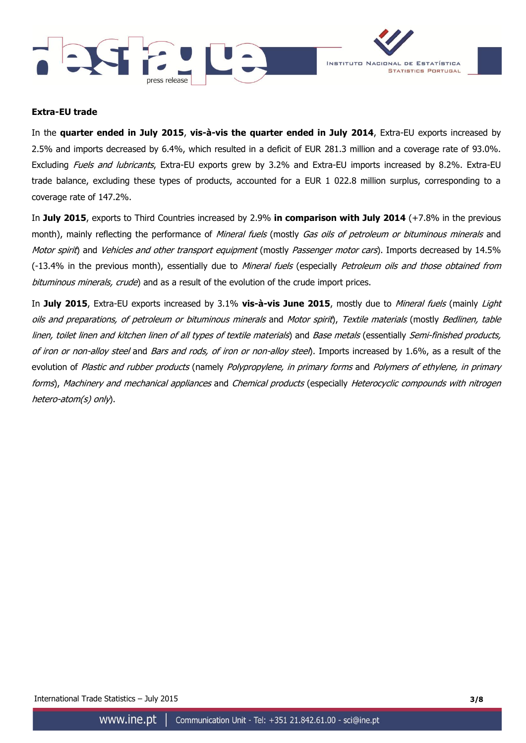



### **Extra-EU trade**

In the **quarter ended in July 2015**, **vis-à-vis the quarter ended in July 2014**, Extra-EU exports increased by 2.5% and imports decreased by 6.4%, which resulted in a deficit of EUR 281.3 million and a coverage rate of 93.0%. Excluding Fuels and lubricants, Extra-EU exports grew by 3.2% and Extra-EU imports increased by 8.2%. Extra-EU trade balance, excluding these types of products, accounted for a EUR 1 022.8 million surplus, corresponding to a coverage rate of 147.2%.

In **July 2015**, exports to Third Countries increased by 2.9% **in comparison with July 2014** (+7.8% in the previous month), mainly reflecting the performance of Mineral fuels (mostly Gas oils of petroleum or bituminous minerals and Motor spirit) and Vehicles and other transport equipment (mostly Passenger motor cars). Imports decreased by 14.5% (-13.4% in the previous month), essentially due to *Mineral fuels* (especially *Petroleum oils and those obtained from* bituminous minerals, crude) and as a result of the evolution of the crude import prices.

In **July 2015**, Extra-EU exports increased by 3.1% **vis-à-vis June 2015**, mostly due to Mineral fuels (mainly Light oils and preparations, of petroleum or bituminous minerals and Motor spirit), Textile materials (mostly Bedlinen, table linen, toilet linen and kitchen linen of all types of textile materials) and Base metals (essentially Semi-finished products, of iron or non-alloy steel and Bars and rods, of iron or non-alloy steel). Imports increased by 1.6%, as a result of the evolution of Plastic and rubber products (namely Polypropylene, in primary forms and Polymers of ethylene, in primary forms), Machinery and mechanical appliances and Chemical products (especially Heterocyclic compounds with nitrogen hetero-atom(s) only).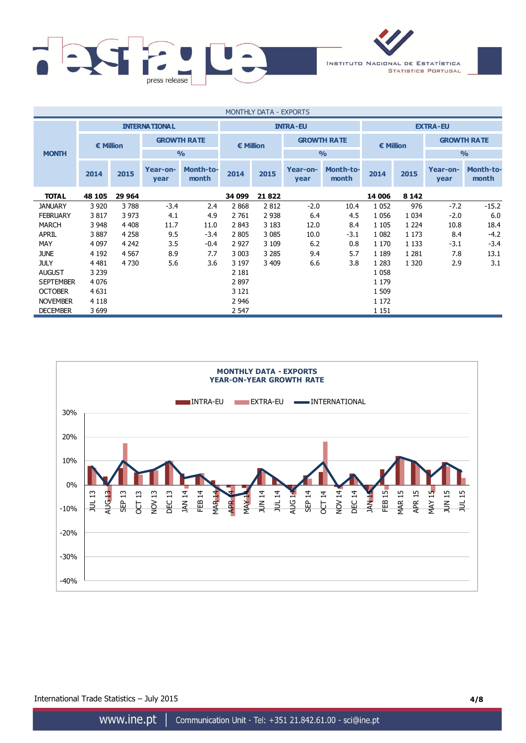

| <b>MONTHLY DATA - EXPORTS</b> |                      |         |                  |                           |                 |         |                  |                           |                 |         |                    |                           |  |  |           |  |                    |  |
|-------------------------------|----------------------|---------|------------------|---------------------------|-----------------|---------|------------------|---------------------------|-----------------|---------|--------------------|---------------------------|--|--|-----------|--|--------------------|--|
|                               | <b>INTERNATIONAL</b> |         |                  |                           | <b>INTRA-EU</b> |         |                  |                           | <b>EXTRA-EU</b> |         |                    |                           |  |  |           |  |                    |  |
|                               | € Million            |         |                  | <b>GROWTH RATE</b>        | € Million       |         |                  |                           |                 |         | <b>GROWTH RATE</b> |                           |  |  | € Million |  | <b>GROWTH RATE</b> |  |
| <b>MONTH</b>                  |                      |         |                  | $\frac{0}{0}$             |                 |         |                  | $\frac{0}{0}$             |                 |         |                    | $\frac{9}{0}$             |  |  |           |  |                    |  |
|                               | 2014                 | 2015    | Year-on-<br>year | <b>Month-to-</b><br>month | 2014            | 2015    | Year-on-<br>year | <b>Month-to-</b><br>month | 2014            | 2015    | Year-on-<br>year   | <b>Month-to-</b><br>month |  |  |           |  |                    |  |
| <b>TOTAL</b>                  | 48 105               | 29 964  |                  |                           | 34 099          | 21822   |                  |                           | 14 006          | 8 1 4 2 |                    |                           |  |  |           |  |                    |  |
| <b>JANUARY</b>                | 3 9 2 0              | 3788    | $-3.4$           | 2.4                       | 2868            | 2812    | $-2.0$           | 10.4                      | 1 0 5 2         | 976     | $-7.2$             | $-15.2$                   |  |  |           |  |                    |  |
| <b>FEBRUARY</b>               | 3817                 | 3 9 7 3 | 4.1              | 4.9                       | 2 761           | 2 9 3 8 | 6.4              | 4.5                       | 1 0 5 6         | 1 0 3 4 | $-2.0$             | 6.0                       |  |  |           |  |                    |  |
| <b>MARCH</b>                  | 3 9 4 8              | 4 4 0 8 | 11.7             | 11.0                      | 2843            | 3 1 8 3 | 12.0             | 8.4                       | 1 1 0 5         | 1 2 2 4 | 10.8               | 18.4                      |  |  |           |  |                    |  |
| <b>APRIL</b>                  | 3887                 | 4 2 5 8 | 9.5              | $-3.4$                    | 2 8 0 5         | 3 0 8 5 | 10.0             | $-3.1$                    | 1 0 8 2         | 1 1 7 3 | 8.4                | $-4.2$                    |  |  |           |  |                    |  |
| MAY                           | 4 0 9 7              | 4 2 4 2 | 3.5              | $-0.4$                    | 2 9 2 7         | 3 1 0 9 | 6.2              | 0.8                       | 1 1 7 0         | 1 1 3 3 | $-3.1$             | $-3.4$                    |  |  |           |  |                    |  |
| <b>JUNE</b>                   | 4 1 9 2              | 4 5 6 7 | 8.9              | 7.7                       | 3 0 0 3         | 3 2 8 5 | 9.4              | 5.7                       | 1 1 8 9         | 1 2 8 1 | 7.8                | 13.1                      |  |  |           |  |                    |  |
| <b>JULY</b>                   | 4 4 8 1              | 4 7 3 0 | 5.6              | 3.6                       | 3 1 9 7         | 3 4 0 9 | 6.6              | 3.8                       | 1 2 8 3         | 1 3 2 0 | 2.9                | 3.1                       |  |  |           |  |                    |  |
| <b>AUGUST</b>                 | 3 2 3 9              |         |                  |                           | 2 1 8 1         |         |                  |                           | 1 0 5 8         |         |                    |                           |  |  |           |  |                    |  |
| <b>SEPTEMBER</b>              | 4 0 7 6              |         |                  |                           | 2897            |         |                  |                           | 1 1 7 9         |         |                    |                           |  |  |           |  |                    |  |
| <b>OCTOBER</b>                | 4 6 31               |         |                  |                           | 3 1 2 1         |         |                  |                           | 1 509           |         |                    |                           |  |  |           |  |                    |  |
| <b>NOVEMBER</b>               | 4 1 1 8              |         |                  |                           | 2 9 4 6         |         |                  |                           | 1 1 7 2         |         |                    |                           |  |  |           |  |                    |  |
| <b>DECEMBER</b>               | 3699                 |         |                  |                           | 2 5 4 7         |         |                  |                           | 1 1 5 1         |         |                    |                           |  |  |           |  |                    |  |



International Trade Statistics – July 2015 **4/8**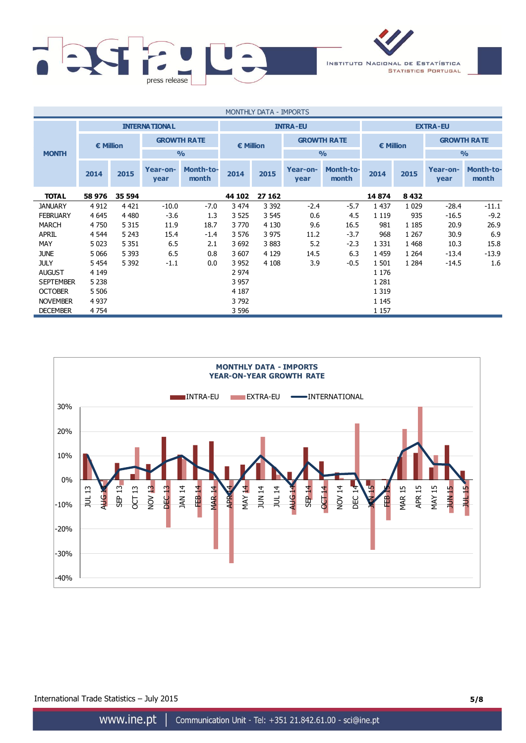

| MONTHLY DATA - IMPORTS |                      |         |                  |                           |           |         |                  |                           |         |         |                    |                           |  |  |           |  |                    |  |
|------------------------|----------------------|---------|------------------|---------------------------|-----------|---------|------------------|---------------------------|---------|---------|--------------------|---------------------------|--|--|-----------|--|--------------------|--|
|                        | <b>INTERNATIONAL</b> |         |                  | <b>INTRA-EU</b>           |           |         |                  | <b>EXTRA-EU</b>           |         |         |                    |                           |  |  |           |  |                    |  |
|                        | € Million            |         |                  | <b>GROWTH RATE</b>        | € Million |         |                  |                           |         |         | <b>GROWTH RATE</b> |                           |  |  | € Million |  | <b>GROWTH RATE</b> |  |
| <b>MONTH</b>           |                      |         |                  | $\frac{0}{0}$             |           |         |                  | $\frac{0}{0}$             |         |         |                    | $\frac{9}{0}$             |  |  |           |  |                    |  |
|                        | 2014                 | 2015    | Year-on-<br>year | <b>Month-to-</b><br>month | 2014      | 2015    | Year-on-<br>year | <b>Month-to-</b><br>month | 2014    | 2015    | Year-on-<br>year   | <b>Month-to-</b><br>month |  |  |           |  |                    |  |
| <b>TOTAL</b>           | 58 976               | 35 594  |                  |                           | 44 102    | 27 162  |                  |                           | 14874   | 8 4 3 2 |                    |                           |  |  |           |  |                    |  |
| <b>JANUARY</b>         | 4 9 1 2              | 4 4 2 1 | $-10.0$          | $-7.0$                    | 3 4 7 4   | 3 3 9 2 | $-2.4$           | $-5.7$                    | 1 4 3 7 | 1 0 2 9 | $-28.4$            | $-11.1$                   |  |  |           |  |                    |  |
| <b>FEBRUARY</b>        | 4 6 4 5              | 4 4 8 0 | $-3.6$           | 1.3                       | 3 5 2 5   | 3 5 4 5 | 0.6              | 4.5                       | 1 1 1 9 | 935     | $-16.5$            | $-9.2$                    |  |  |           |  |                    |  |
| <b>MARCH</b>           | 4 7 5 0              | 5 3 1 5 | 11.9             | 18.7                      | 3 7 7 0   | 4 1 3 0 | 9.6              | 16.5                      | 981     | 1 1 8 5 | 20.9               | 26.9                      |  |  |           |  |                    |  |
| <b>APRIL</b>           | 4 5 44               | 5 2 4 3 | 15.4             | $-1.4$                    | 3 5 7 6   | 3 9 7 5 | 11.2             | $-3.7$                    | 968     | 1 2 6 7 | 30.9               | 6.9                       |  |  |           |  |                    |  |
| <b>MAY</b>             | 5 0 23               | 5 3 5 1 | 6.5              | 2.1                       | 3 6 9 2   | 3883    | 5.2              | $-2.3$                    | 1 3 3 1 | 1 4 6 8 | 10.3               | 15.8                      |  |  |           |  |                    |  |
| <b>JUNE</b>            | 5 0 6 6              | 5 3 9 3 | 6.5              | 0.8                       | 3 607     | 4 1 2 9 | 14.5             | 6.3                       | 1 4 5 9 | 1 2 6 4 | $-13.4$            | $-13.9$                   |  |  |           |  |                    |  |
| <b>JULY</b>            | 5 4 5 4              | 5 3 9 2 | $-1.1$           | 0.0                       | 3 9 5 2   | 4 1 0 8 | 3.9              | $-0.5$                    | 1 501   | 1 2 8 4 | $-14.5$            | 1.6                       |  |  |           |  |                    |  |
| <b>AUGUST</b>          | 4 1 4 9              |         |                  |                           | 2 9 7 4   |         |                  |                           | 1 1 7 6 |         |                    |                           |  |  |           |  |                    |  |
| <b>SEPTEMBER</b>       | 5 2 3 8              |         |                  |                           | 3 9 5 7   |         |                  |                           | 1 2 8 1 |         |                    |                           |  |  |           |  |                    |  |
| <b>OCTOBER</b>         | 5 5 0 6              |         |                  |                           | 4 1 8 7   |         |                  |                           | 1 3 1 9 |         |                    |                           |  |  |           |  |                    |  |
| <b>NOVEMBER</b>        | 4 9 37               |         |                  |                           | 3792      |         |                  |                           | 1 1 4 5 |         |                    |                           |  |  |           |  |                    |  |
| <b>DECEMBER</b>        | 4 7 5 4              |         |                  |                           | 3 5 9 6   |         |                  |                           | 1 1 5 7 |         |                    |                           |  |  |           |  |                    |  |



International Trade Statistics – July 2015 **5/8**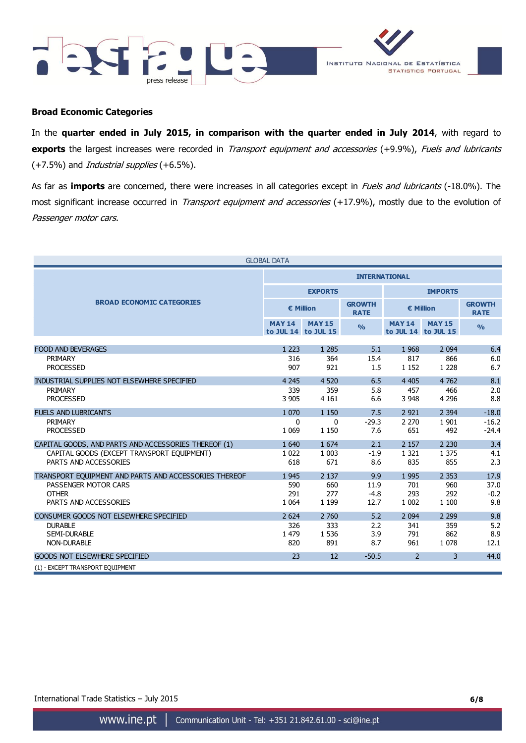



### **Broad Economic Categories**

In the **quarter ended in July 2015, in comparison with the quarter ended in July 2014**, with regard to **exports** the largest increases were recorded in *Transport equipment and accessories* (+9.9%), Fuels and lubricants (+7.5%) and *Industrial supplies* (+6.5%).

As far as *imports* are concerned, there were increases in all categories except in *Fuels and lubricants* (-18.0%). The most significant increase occurred in Transport equipment and accessories (+17.9%), mostly due to the evolution of Passenger motor cars.

|                                                       | <b>GLOBAL DATA</b>   |                                      |                              |                |                                      |                              |  |
|-------------------------------------------------------|----------------------|--------------------------------------|------------------------------|----------------|--------------------------------------|------------------------------|--|
|                                                       | <b>INTERNATIONAL</b> |                                      |                              |                |                                      |                              |  |
|                                                       |                      | <b>EXPORTS</b>                       |                              | <b>IMPORTS</b> |                                      |                              |  |
| <b>BROAD ECONOMIC CATEGORIES</b>                      |                      | € Million                            | <b>GROWTH</b><br><b>RATE</b> | € Million      |                                      | <b>GROWTH</b><br><b>RATE</b> |  |
|                                                       | <b>MAY 14</b>        | <b>MAY 15</b><br>to JUL 14 to JUL 15 | $\frac{0}{0}$                | <b>MAY 14</b>  | <b>MAY 15</b><br>to JUL 14 to JUL 15 | O/2                          |  |
| <b>FOOD AND BEVERAGES</b>                             | 1 2 2 3              | 1 2 8 5                              | 5.1                          | 1968           | 2 0 9 4                              | 6.4                          |  |
| PRIMARY                                               | 316                  | 364                                  | 15.4                         | 817            | 866                                  | 6.0                          |  |
| <b>PROCESSED</b>                                      | 907                  | 921                                  | 1.5                          | 1 1 5 2        | 1 2 2 8                              | 6.7                          |  |
| INDUSTRIAL SUPPLIES NOT ELSEWHERE SPECIFIED           | 4 2 4 5              | 4 5 20                               | 6.5                          | 4 4 0 5        | 4762                                 | 8.1                          |  |
| PRIMARY                                               | 339                  | 359                                  | 5.8                          | 457            | 466                                  | 2.0                          |  |
| <b>PROCESSED</b>                                      | 3 9 0 5              | 4 1 6 1                              | 6.6                          | 3 9 4 8        | 4 2 9 6                              | 8.8                          |  |
| <b>FUELS AND LUBRICANTS</b>                           | 1 0 7 0              | 1 1 5 0                              | 7.5                          | 2 9 2 1        | 2 3 9 4                              | $-18.0$                      |  |
| PRIMARY                                               | 0                    | 0                                    | $-29.3$                      | 2 2 7 0        | 1 9 0 1                              | $-16.2$                      |  |
| <b>PROCESSED</b>                                      | 1 0 6 9              | 1 1 5 0                              | 7.6                          | 651            | 492                                  | $-24.4$                      |  |
| CAPITAL GOODS, AND PARTS AND ACCESSORIES THEREOF (1)  | 1 6 4 0              | 1 674                                | 2.1                          | 2 1 5 7        | 2 2 3 0                              | 3.4                          |  |
| CAPITAL GOODS (EXCEPT TRANSPORT EQUIPMENT)            | 1 0 2 2              | 1 0 0 3                              | $-1.9$                       | 1 3 2 1        | 1 3 7 5                              | 4.1                          |  |
| PARTS AND ACCESSORIES                                 | 618                  | 671                                  | 8.6                          | 835            | 855                                  | 2.3                          |  |
| TRANSPORT EOUIPMENT AND PARTS AND ACCESSORIES THEREOF | 1 9 4 5              | 2 1 3 7                              | 9.9                          | 1995           | 2 3 5 3                              | 17.9                         |  |
| PASSENGER MOTOR CARS                                  | 590                  | 660                                  | 11.9                         | 701            | 960                                  | 37.0                         |  |
| <b>OTHER</b>                                          | 291                  | 277                                  | $-4.8$                       | 293            | 292                                  | $-0.2$                       |  |
| PARTS AND ACCESSORIES                                 | 1 0 6 4              | 1 1 9 9                              | 12.7                         | 1 0 0 2        | 1 100                                | 9.8                          |  |
| CONSUMER GOODS NOT ELSEWHERE SPECIFIED                | 2 6 2 4              | 2 760                                | 5.2                          | 2 0 9 4        | 2 2 9 9                              | 9.8                          |  |
| <b>DURABLE</b>                                        | 326                  | 333                                  | 2.2                          | 341            | 359                                  | 5.2                          |  |
| <b>SEMI-DURABLE</b>                                   | 1 479                | 1 5 3 6                              | 3.9                          | 791            | 862                                  | 8.9                          |  |
| NON-DURABLE                                           | 820                  | 891                                  | 8.7                          | 961            | 1 0 7 8                              | 12.1                         |  |
| <b>GOODS NOT ELSEWHERE SPECIFIED</b>                  | 23                   | 12                                   | $-50.5$                      | $\overline{2}$ | 3                                    | 44.0                         |  |
| (1) - EXCEPT TRANSPORT EQUIPMENT                      |                      |                                      |                              |                |                                      |                              |  |

### International Trade Statistics – July 2015 **6/8**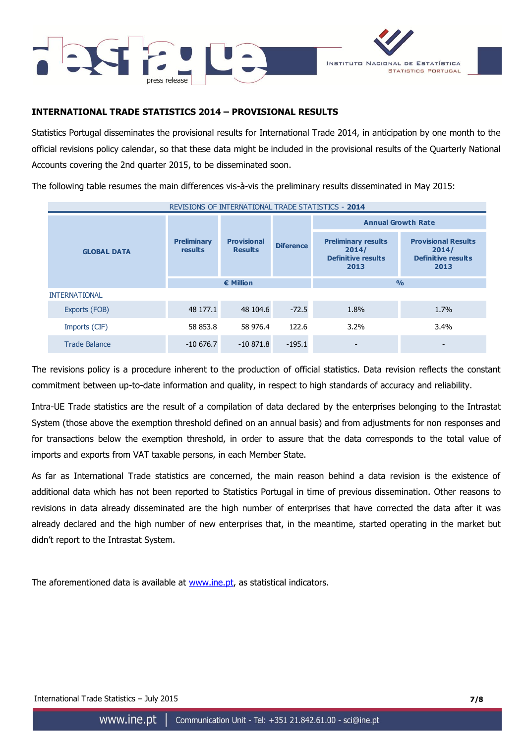



## **INTERNATIONAL TRADE STATISTICS 2014 – PROVISIONAL RESULTS**

Statistics Portugal disseminates the provisional results for International Trade 2014, in anticipation by one month to the official revisions policy calendar, so that these data might be included in the provisional results of the Quarterly National Accounts covering the 2nd quarter 2015, to be disseminated soon.

The following table resumes the main differences vis-à-vis the preliminary results disseminated in May 2015:

| REVISIONS OF INTERNATIONAL TRADE STATISTICS - 2014 |                                      |                                      |                  |                                                                          |                                                                          |  |  |  |
|----------------------------------------------------|--------------------------------------|--------------------------------------|------------------|--------------------------------------------------------------------------|--------------------------------------------------------------------------|--|--|--|
|                                                    |                                      |                                      |                  | <b>Annual Growth Rate</b>                                                |                                                                          |  |  |  |
| <b>GLOBAL DATA</b>                                 | <b>Preliminary</b><br><b>results</b> | <b>Provisional</b><br><b>Results</b> | <b>Diference</b> | <b>Preliminary results</b><br>2014/<br><b>Definitive results</b><br>2013 | <b>Provisional Results</b><br>2014/<br><b>Definitive results</b><br>2013 |  |  |  |
|                                                    |                                      | $\epsilon$ Million                   |                  |                                                                          | $\frac{0}{0}$                                                            |  |  |  |
| <b>INTERNATIONAL</b>                               |                                      |                                      |                  |                                                                          |                                                                          |  |  |  |
| Exports (FOB)                                      | 48 177.1                             | 48 104.6                             | $-72.5$          | 1.8%                                                                     | 1.7%                                                                     |  |  |  |
| Imports (CIF)                                      | 58 853.8                             | 58 976.4                             | 122.6            | 3.2%                                                                     | 3.4%                                                                     |  |  |  |
| <b>Trade Balance</b>                               | $-10676.7$                           | $-10871.8$                           | $-195.1$         | $\overline{\phantom{a}}$                                                 |                                                                          |  |  |  |

The revisions policy is a procedure inherent to the production of official statistics. Data revision reflects the constant commitment between up-to-date information and quality, in respect to high standards of accuracy and reliability.

Intra-UE Trade statistics are the result of a compilation of data declared by the enterprises belonging to the Intrastat System (those above the exemption threshold defined on an annual basis) and from adjustments for non responses and for transactions below the exemption threshold, in order to assure that the data corresponds to the total value of imports and exports from VAT taxable persons, in each Member State.

As far as International Trade statistics are concerned, the main reason behind a data revision is the existence of additional data which has not been reported to Statistics Portugal in time of previous dissemination. Other reasons to revisions in data already disseminated are the high number of enterprises that have corrected the data after it was already declared and the high number of new enterprises that, in the meantime, started operating in the market but didn't report to the Intrastat System.

The aforementioned data is available at [www.ine.pt,](http://www.ine.pt/) as statistical indicators.

International Trade Statistics – July 2015 **7/8**